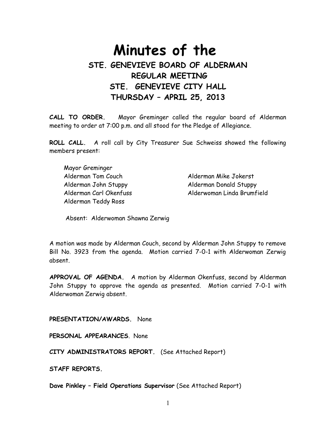# **Minutes of the STE. GENEVIEVE BOARD OF ALDERMAN REGULAR MEETING STE. GENEVIEVE CITY HALL THURSDAY – APRIL 25, 2013**

**CALL TO ORDER.** Mayor Greminger called the regular board of Alderman meeting to order at 7:00 p.m. and all stood for the Pledge of Allegiance.

**ROLL CALL.** A roll call by City Treasurer Sue Schweiss showed the following members present:

 Mayor Greminger Alderman Tom Couch Alderman Mike Jokerst Alderman John Stuppy Alderman Donald Stuppy Alderman Teddy Ross

Alderman Carl Okenfuss Alderwoman Linda Brumfield

Absent: Alderwoman Shawna Zerwig

A motion was made by Alderman Couch, second by Alderman John Stuppy to remove Bill No. 3923 from the agenda. Motion carried 7-0-1 with Alderwoman Zerwig absent.

**APPROVAL OF AGENDA.** A motion by Alderman Okenfuss, second by Alderman John Stuppy to approve the agenda as presented. Motion carried 7-0-1 with Alderwoman Zerwig absent.

**PRESENTATION/AWARDS.** None

**PERSONAL APPEARANCES**. None

**CITY ADMINISTRATORS REPORT.** (See Attached Report)

**STAFF REPORTS.** 

**Dave Pinkley – Field Operations Supervisor** (See Attached Report)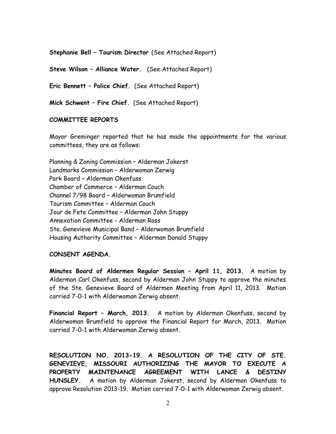**Stephanie Bell – Tourism Director** (See Attached Report)

**Steve Wilson – Alliance Water.** (See Attached Report)

**Eric Bennett – Police Chief.** (See Attached Report)

**Mick Schwent – Fire Chief.** (See Attached Report)

#### **COMMITTEE REPORTS**

Mayor Greminger reported that he has made the appointments for the various committees, they are as follows:

Planning & Zoning Commission – Alderman Jokerst Landmarks Commission – Alderwoman Zerwig Park Board – Alderman Okenfuss Chamber of Commerce – Alderman Couch Channel 7/98 Board – Alderwoman Brumfield Tourism Committee – Alderman Couch Jour de Fete Committee – Alderman John Stuppy Annexation Committee - Alderman Ross Ste. Genevieve Municipal Band – Alderwoman Brumfield Housing Authority Committee – Alderman Donald Stuppy

## **CONSENT AGENDA.**

**Minutes Board of Aldermen Regular Session – April 11, 2013.** A motion by Alderman Carl Okenfuss, second by Alderman John Stuppy to approve the minutes of the Ste. Genevieve Board of Aldermen Meeting from April 11, 2013. Motion carried 7-0-1 with Alderwoman Zerwig absent.

**Financial Report – March, 2013.** A motion by Alderman Okenfuss, second by Alderwoman Brumfield to approve the Financial Report for March, 2013. Motion carried 7-0-1 with Alderwoman Zerwig absent.

**RESOLUTION NO. 2013-19. A RESOLUTION OF THE CITY OF STE. GENEVIEVE, MISSOURI AUTHORIZING THE MAYOR TO EXECUTE A PROPERTY MAINTENANCE AGREEMENT WITH LANCE & DESTINY HUNSLEY.** A motion by Alderman Jokerst, second by Alderman Okenfuss to approve Resolution 2013-19. Motion carried 7-0-1 with Alderwoman Zerwig absent.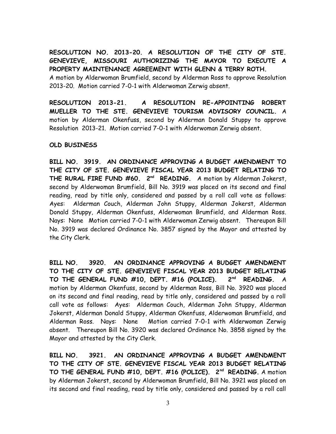**RESOLUTION NO. 2013-20. A RESOLUTION OF THE CITY OF STE. GENEVIEVE, MISSOURI AUTHORIZING THE MAYOR TO EXECUTE A PROPERTY MAINTENANCE AGREEMENT WITH GLENN & TERRY ROTH.**  A motion by Alderwoman Brumfield, second by Alderman Ross to approve Resolution 2013-20. Motion carried 7-0-1 with Alderwoman Zerwig absent.

**RESOLUTION 2013-21. A RESOLUTION RE-APPOINTING ROBERT MUELLER TO THE STE. GENEVIEVE TOURISM ADVISORY COUNCIL.** A motion by Alderman Okenfuss, second by Alderman Donald Stuppy to approve Resolution 2013-21. Motion carried 7-0-1 with Alderwoman Zerwig absent.

## **OLD BUSINESS**

**BILL NO. 3919. AN ORDINANCE APPROVING A BUDGET AMENDMENT TO THE CITY OF STE. GENEVIEVE FISCAL YEAR 2013 BUDGET RELATING TO THE RURAL FIRE FUND #60. 2nd READING.** A motion by Alderman Jokerst, second by Alderwoman Brumfield, Bill No. 3919 was placed on its second and final reading, read by title only, considered and passed by a roll call vote as follows: Ayes: Alderman Couch, Alderman John Stuppy, Alderman Jokerst, Alderman Donald Stuppy, Alderman Okenfuss, Alderwoman Brumfield, and Alderman Ross. Nays: None Motion carried 7-0-1 with Alderwoman Zerwig absent. Thereupon Bill No. 3919 was declared Ordinance No. 3857 signed by the Mayor and attested by the City Clerk.

**BILL NO. 3920. AN ORDINANCE APPROVING A BUDGET AMENDMENT TO THE CITY OF STE. GENEVIEVE FISCAL YEAR 2013 BUDGET RELATING TO THE GENERAL FUND #10, DEPT. #16 (POLICE). 2nd READING.** A motion by Alderman Okenfuss, second by Alderman Ross, Bill No. 3920 was placed on its second and final reading, read by title only, considered and passed by a roll call vote as follows: Ayes: Alderman Couch, Alderman John Stuppy, Alderman Jokerst, Alderman Donald Stuppy, Alderman Okenfuss, Alderwoman Brumfield, and Alderman Ross. Nays: None Motion carried 7-0-1 with Alderwoman Zerwig absent. Thereupon Bill No. 3920 was declared Ordinance No. 3858 signed by the Mayor and attested by the City Clerk.

**BILL NO. 3921. AN ORDINANCE APPROVING A BUDGET AMENDMENT TO THE CITY OF STE. GENEVIEVE FISCAL YEAR 2013 BUDGET RELATING TO THE GENERAL FUND #10, DEPT. #16 (POLICE). 2nd READING.** A motion by Alderman Jokerst, second by Alderwoman Brumfield, Bill No. 3921 was placed on its second and final reading, read by title only, considered and passed by a roll call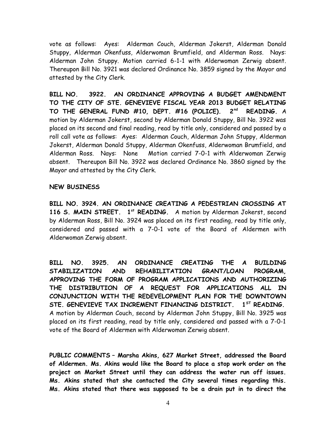vote as follows: Ayes: Alderman Couch, Alderman Jokerst, Alderman Donald Stuppy, Alderman Okenfuss, Alderwoman Brumfield, and Alderman Ross. Nays: Alderman John Stuppy. Motion carried 6-1-1 with Alderwoman Zerwig absent. Thereupon Bill No. 3921 was declared Ordinance No. 3859 signed by the Mayor and attested by the City Clerk.

**BILL NO. 3922. AN ORDINANCE APPROVING A BUDGET AMENDMENT TO THE CITY OF STE. GENEVIEVE FISCAL YEAR 2013 BUDGET RELATING TO THE GENERAL FUND #10, DEPT. #16 (POLICE). 2nd READING.** A motion by Alderman Jokerst, second by Alderman Donald Stuppy, Bill No. 3922 was placed on its second and final reading, read by title only, considered and passed by a roll call vote as follows: Ayes: Alderman Couch, Alderman John Stuppy, Alderman Jokerst, Alderman Donald Stuppy, Alderman Okenfuss, Alderwoman Brumfield, and Alderman Ross. Nays: None Motion carried 7-0-1 with Alderwoman Zerwig absent. Thereupon Bill No. 3922 was declared Ordinance No. 3860 signed by the Mayor and attested by the City Clerk.

#### **NEW BUSINESS**

**BILL NO. 3924. AN ORDINANCE CREATING A PEDESTRIAN CROSSING AT 116 S. MAIN STREET. 1st READING.** A motion by Alderman Jokerst, second by Alderman Ross, Bill No. 3924 was placed on its first reading, read by title only, considered and passed with a 7-0-1 vote of the Board of Aldermen with Alderwoman Zerwig absent.

**BILL NO. 3925. AN ORDINANCE CREATING THE A BUILDING STABILIZATION AND REHABILITATION GRANT/LOAN PROGRAM, APPROVING THE FORM OF PROGRAM APPLICATIONS AND AUTHORIZING THE DISTRIBUTION OF A REQUEST FOR APPLICATIONS ALL IN CONJUNCTION WITH THE REDEVELOPMENT PLAN FOR THE DOWNTOWN STE. GENEVIEVE TAX INCREMENT FINANCING DISTRICT. 1ST READING.** A motion by Alderman Couch, second by Alderman John Stuppy, Bill No. 3925 was placed on its first reading, read by title only, considered and passed with a 7-0-1 vote of the Board of Aldermen with Alderwoman Zerwig absent.

**PUBLIC COMMENTS – Marsha Akins, 627 Market Street, addressed the Board of Aldermen. Ms. Akins would like the Board to place a stop work order on the project on Market Street until they can address the water run off issues. Ms. Akins stated that she contacted the City several times regarding this. Ms. Akins stated that there was supposed to be a drain put in to direct the**